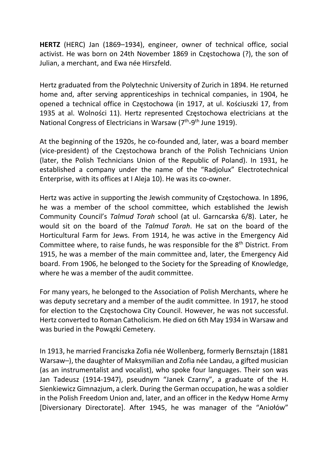HERTZ (HERC) Jan (1869–1934), engineer, owner of technical office, social activist. He was born on 24th November 1869 in Częstochowa (?), the son of Julian, a merchant, and Ewa née Hirszfeld.

Hertz graduated from the Polytechnic University of Zurich in 1894. He returned home and, after serving apprenticeships in technical companies, in 1904, he opened a technical office in Częstochowa (in 1917, at ul. Kościuszki 17, from 1935 at al. Wolności 11). Hertz represented Częstochowa electricians at the National Congress of Electricians in Warsaw  $(7<sup>th</sup>-9<sup>th</sup>$  June 1919).

At the beginning of the 1920s, he co-founded and, later, was a board member (vice-president) of the Częstochowa branch of the Polish Technicians Union (later, the Polish Technicians Union of the Republic of Poland). In 1931, he established a company under the name of the "Radjolux" Electrotechnical Enterprise, with its offices at I Aleja 10). He was its co-owner.

Hertz was active in supporting the Jewish community of Częstochowa. In 1896, he was a member of the school committee, which established the Jewish Community Council's Talmud Torah school (at ul. Garncarska 6/8). Later, he would sit on the board of the Talmud Torah. He sat on the board of the Horticultural Farm for Jews. From 1914, he was active in the Emergency Aid Committee where, to raise funds, he was responsible for the 8<sup>th</sup> District. From 1915, he was a member of the main committee and, later, the Emergency Aid board. From 1906, he belonged to the Society for the Spreading of Knowledge, where he was a member of the audit committee.

For many years, he belonged to the Association of Polish Merchants, where he was deputy secretary and a member of the audit committee. In 1917, he stood for election to the Częstochowa City Council. However, he was not successful. Hertz converted to Roman Catholicism. He died on 6th May 1934 in Warsaw and was buried in the Powązki Cemetery.

In 1913, he married Franciszka Zofia née Wollenberg, formerly Bernsztajn (1881 Warsaw–), the daughter of Maksymilian and Zofia née Landau, a gifted musician (as an instrumentalist and vocalist), who spoke four languages. Their son was Jan Tadeusz (1914-1947), pseudnym "Janek Czarny", a graduate of the H. Sienkiewicz Gimnazjum, a clerk. During the German occupation, he was a soldier in the Polish Freedom Union and, later, and an officer in the Kedyw Home Army [Diversionary Directorate]. After 1945, he was manager of the "Aniołów"